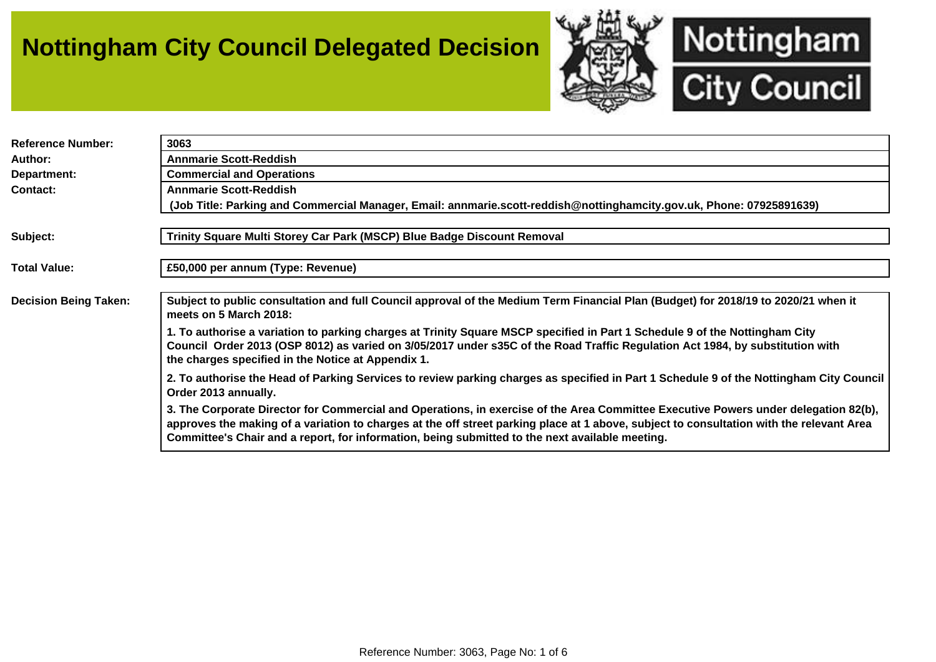## **Nottingham City Council Delegated Decision**



| <b>Reference Number:</b>     | 3063                                                                                                                                                                                                                                                                                                                                                                               |
|------------------------------|------------------------------------------------------------------------------------------------------------------------------------------------------------------------------------------------------------------------------------------------------------------------------------------------------------------------------------------------------------------------------------|
| Author:                      | <b>Annmarie Scott-Reddish</b>                                                                                                                                                                                                                                                                                                                                                      |
| Department:                  | <b>Commercial and Operations</b>                                                                                                                                                                                                                                                                                                                                                   |
| <b>Contact:</b>              | <b>Annmarie Scott-Reddish</b>                                                                                                                                                                                                                                                                                                                                                      |
|                              | (Job Title: Parking and Commercial Manager, Email: annmarie.scott-reddish@nottinghamcity.gov.uk, Phone: 07925891639)                                                                                                                                                                                                                                                               |
|                              |                                                                                                                                                                                                                                                                                                                                                                                    |
| Subject:                     | Trinity Square Multi Storey Car Park (MSCP) Blue Badge Discount Removal                                                                                                                                                                                                                                                                                                            |
|                              |                                                                                                                                                                                                                                                                                                                                                                                    |
| <b>Total Value:</b>          | £50,000 per annum (Type: Revenue)                                                                                                                                                                                                                                                                                                                                                  |
|                              |                                                                                                                                                                                                                                                                                                                                                                                    |
| <b>Decision Being Taken:</b> | Subject to public consultation and full Council approval of the Medium Term Financial Plan (Budget) for 2018/19 to 2020/21 when it<br>meets on 5 March 2018:                                                                                                                                                                                                                       |
|                              | 1. To authorise a variation to parking charges at Trinity Square MSCP specified in Part 1 Schedule 9 of the Nottingham City<br>Council Order 2013 (OSP 8012) as varied on 3/05/2017 under s35C of the Road Traffic Regulation Act 1984, by substitution with<br>the charges specified in the Notice at Appendix 1.                                                                 |
|                              | 2. To authorise the Head of Parking Services to review parking charges as specified in Part 1 Schedule 9 of the Nottingham City Council<br>Order 2013 annually.                                                                                                                                                                                                                    |
|                              | 3. The Corporate Director for Commercial and Operations, in exercise of the Area Committee Executive Powers under delegation 82(b),<br>approves the making of a variation to charges at the off street parking place at 1 above, subject to consultation with the relevant Area<br>Committee's Chair and a report, for information, being submitted to the next available meeting. |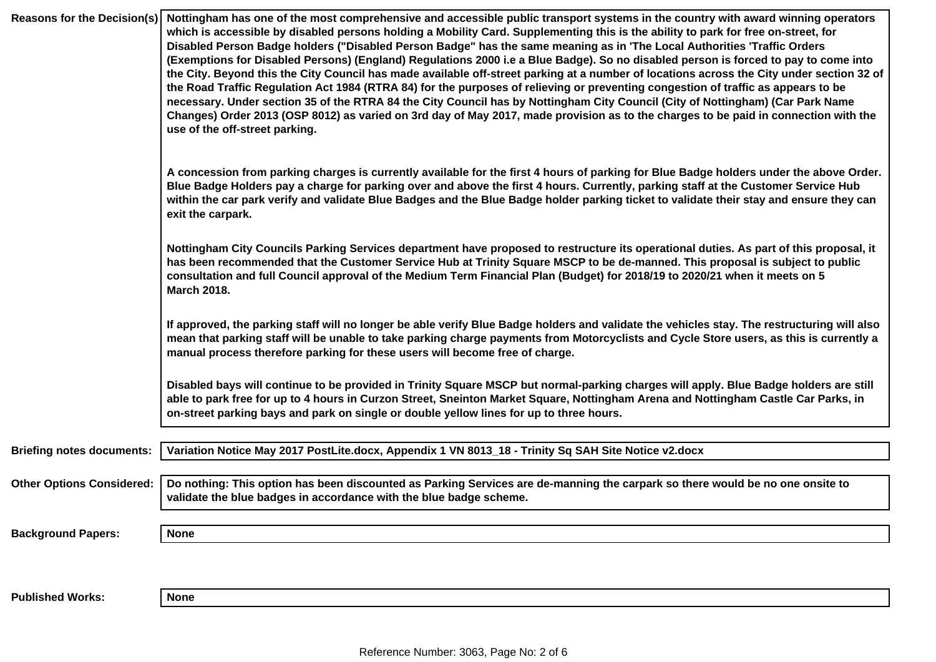| <b>Reasons for the Decision(s)</b> | Nottingham has one of the most comprehensive and accessible public transport systems in the country with award winning operators<br>which is accessible by disabled persons holding a Mobility Card. Supplementing this is the ability to park for free on-street, for<br>Disabled Person Badge holders ("Disabled Person Badge" has the same meaning as in 'The Local Authorities 'Traffic Orders<br>(Exemptions for Disabled Persons) (England) Regulations 2000 i.e a Blue Badge). So no disabled person is forced to pay to come into<br>the City. Beyond this the City Council has made available off-street parking at a number of locations across the City under section 32 of<br>the Road Traffic Regulation Act 1984 (RTRA 84) for the purposes of relieving or preventing congestion of traffic as appears to be<br>necessary. Under section 35 of the RTRA 84 the City Council has by Nottingham City Council (City of Nottingham) (Car Park Name<br>Changes) Order 2013 (OSP 8012) as varied on 3rd day of May 2017, made provision as to the charges to be paid in connection with the<br>use of the off-street parking. |
|------------------------------------|----------------------------------------------------------------------------------------------------------------------------------------------------------------------------------------------------------------------------------------------------------------------------------------------------------------------------------------------------------------------------------------------------------------------------------------------------------------------------------------------------------------------------------------------------------------------------------------------------------------------------------------------------------------------------------------------------------------------------------------------------------------------------------------------------------------------------------------------------------------------------------------------------------------------------------------------------------------------------------------------------------------------------------------------------------------------------------------------------------------------------------------|
|                                    | A concession from parking charges is currently available for the first 4 hours of parking for Blue Badge holders under the above Order.<br>Blue Badge Holders pay a charge for parking over and above the first 4 hours. Currently, parking staff at the Customer Service Hub<br>within the car park verify and validate Blue Badges and the Blue Badge holder parking ticket to validate their stay and ensure they can<br>exit the carpark.                                                                                                                                                                                                                                                                                                                                                                                                                                                                                                                                                                                                                                                                                          |
|                                    | Nottingham City Councils Parking Services department have proposed to restructure its operational duties. As part of this proposal, it<br>has been recommended that the Customer Service Hub at Trinity Square MSCP to be de-manned. This proposal is subject to public<br>consultation and full Council approval of the Medium Term Financial Plan (Budget) for 2018/19 to 2020/21 when it meets on 5<br><b>March 2018.</b>                                                                                                                                                                                                                                                                                                                                                                                                                                                                                                                                                                                                                                                                                                           |
|                                    | If approved, the parking staff will no longer be able verify Blue Badge holders and validate the vehicles stay. The restructuring will also<br>mean that parking staff will be unable to take parking charge payments from Motorcyclists and Cycle Store users, as this is currently a<br>manual process therefore parking for these users will become free of charge.                                                                                                                                                                                                                                                                                                                                                                                                                                                                                                                                                                                                                                                                                                                                                                 |
|                                    | Disabled bays will continue to be provided in Trinity Square MSCP but normal-parking charges will apply. Blue Badge holders are still<br>able to park free for up to 4 hours in Curzon Street, Sneinton Market Square, Nottingham Arena and Nottingham Castle Car Parks, in<br>on-street parking bays and park on single or double yellow lines for up to three hours.                                                                                                                                                                                                                                                                                                                                                                                                                                                                                                                                                                                                                                                                                                                                                                 |
| <b>Briefing notes documents:</b>   | Variation Notice May 2017 PostLite.docx, Appendix 1 VN 8013_18 - Trinity Sq SAH Site Notice v2.docx                                                                                                                                                                                                                                                                                                                                                                                                                                                                                                                                                                                                                                                                                                                                                                                                                                                                                                                                                                                                                                    |
| <b>Other Options Considered:</b>   | Do nothing: This option has been discounted as Parking Services are de-manning the carpark so there would be no one onsite to<br>validate the blue badges in accordance with the blue badge scheme.                                                                                                                                                                                                                                                                                                                                                                                                                                                                                                                                                                                                                                                                                                                                                                                                                                                                                                                                    |
| <b>Background Papers:</b>          | <b>None</b>                                                                                                                                                                                                                                                                                                                                                                                                                                                                                                                                                                                                                                                                                                                                                                                                                                                                                                                                                                                                                                                                                                                            |
|                                    |                                                                                                                                                                                                                                                                                                                                                                                                                                                                                                                                                                                                                                                                                                                                                                                                                                                                                                                                                                                                                                                                                                                                        |
| <b>Published Works:</b>            | <b>None</b>                                                                                                                                                                                                                                                                                                                                                                                                                                                                                                                                                                                                                                                                                                                                                                                                                                                                                                                                                                                                                                                                                                                            |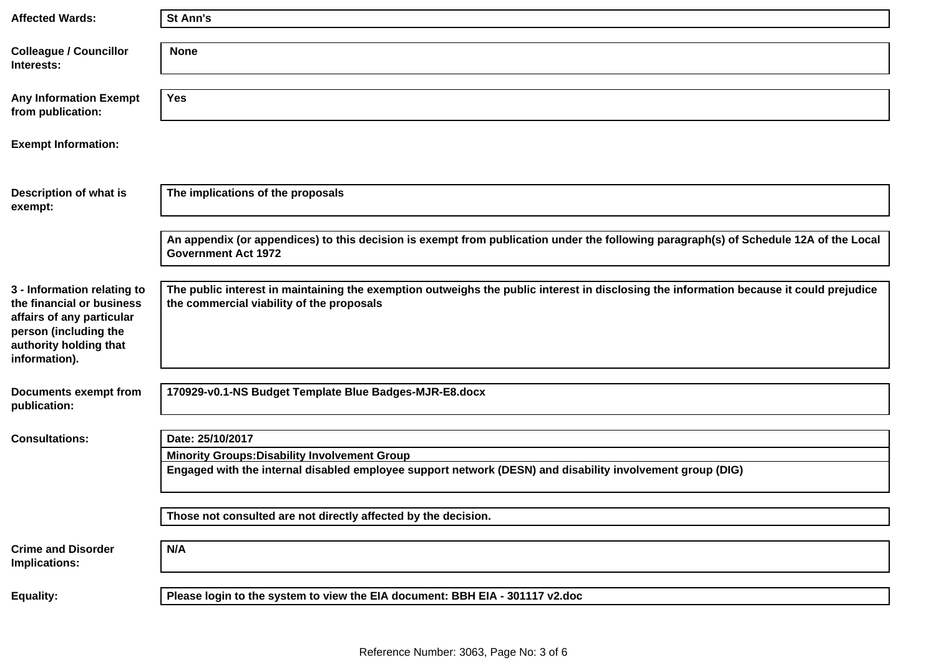| <b>Affected Wards:</b>                                                                                                                                    | St Ann's                                                                                                                                                                             |
|-----------------------------------------------------------------------------------------------------------------------------------------------------------|--------------------------------------------------------------------------------------------------------------------------------------------------------------------------------------|
|                                                                                                                                                           |                                                                                                                                                                                      |
| <b>Colleague / Councillor</b><br>Interests:                                                                                                               | <b>None</b>                                                                                                                                                                          |
|                                                                                                                                                           |                                                                                                                                                                                      |
| <b>Any Information Exempt</b><br>from publication:                                                                                                        | <b>Yes</b>                                                                                                                                                                           |
| <b>Exempt Information:</b>                                                                                                                                |                                                                                                                                                                                      |
|                                                                                                                                                           |                                                                                                                                                                                      |
| Description of what is<br>exempt:                                                                                                                         | The implications of the proposals                                                                                                                                                    |
|                                                                                                                                                           |                                                                                                                                                                                      |
|                                                                                                                                                           | An appendix (or appendices) to this decision is exempt from publication under the following paragraph(s) of Schedule 12A of the Local<br><b>Government Act 1972</b>                  |
|                                                                                                                                                           |                                                                                                                                                                                      |
| 3 - Information relating to<br>the financial or business<br>affairs of any particular<br>person (including the<br>authority holding that<br>information). | The public interest in maintaining the exemption outweighs the public interest in disclosing the information because it could prejudice<br>the commercial viability of the proposals |
|                                                                                                                                                           |                                                                                                                                                                                      |
| <b>Documents exempt from</b><br>publication:                                                                                                              | 170929-v0.1-NS Budget Template Blue Badges-MJR-E8.docx                                                                                                                               |
| <b>Consultations:</b>                                                                                                                                     | Date: 25/10/2017                                                                                                                                                                     |
|                                                                                                                                                           |                                                                                                                                                                                      |
|                                                                                                                                                           | <b>Minority Groups: Disability Involvement Group</b><br>Engaged with the internal disabled employee support network (DESN) and disability involvement group (DIG)                    |
|                                                                                                                                                           |                                                                                                                                                                                      |
|                                                                                                                                                           | Those not consulted are not directly affected by the decision.                                                                                                                       |
| <b>Crime and Disorder</b><br>Implications:                                                                                                                | N/A                                                                                                                                                                                  |
| <b>Equality:</b>                                                                                                                                          | Please login to the system to view the EIA document: BBH EIA - 301117 v2.doc                                                                                                         |
|                                                                                                                                                           |                                                                                                                                                                                      |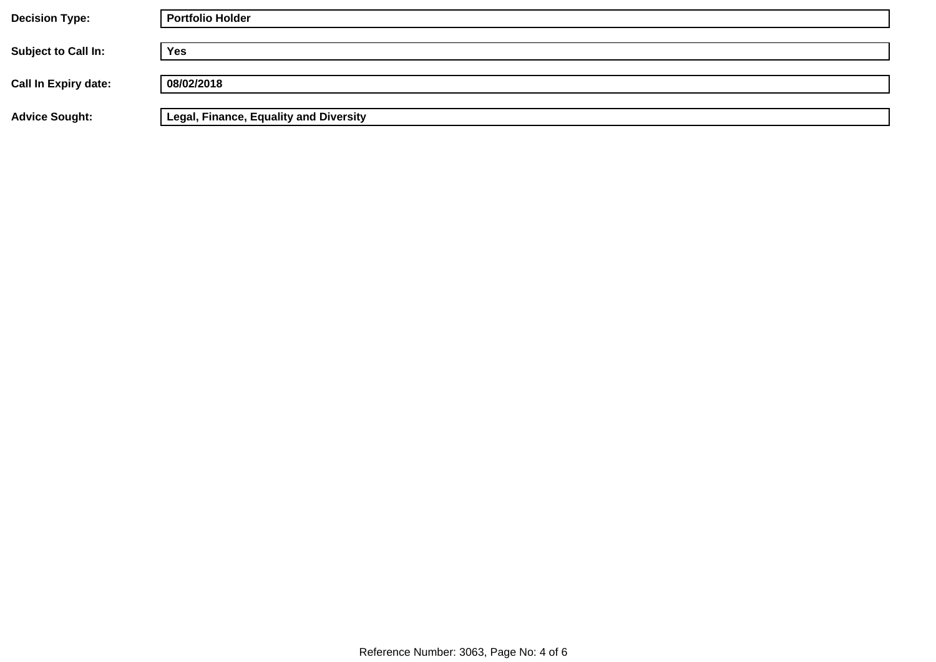| <b>Decision Type:</b>       | <b>Portfolio Holder</b>                       |
|-----------------------------|-----------------------------------------------|
| <b>Subject to Call In:</b>  | <b>Yes</b>                                    |
| <b>Call In Expiry date:</b> | 08/02/2018                                    |
| <b>Advice Sought:</b>       | <b>Legal, Finance, Equality and Diversity</b> |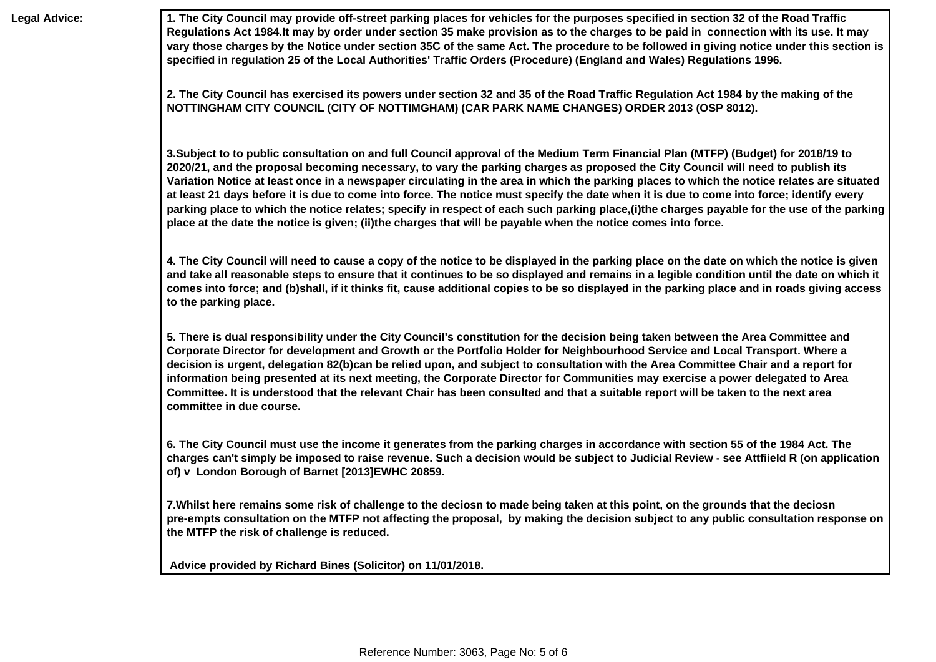**Legal Advice: 1. The City Council may provide off-street parking places for vehicles for the purposes specified in section 32 of the Road Traffic Regulations Act 1984.It may by order under section 35 make provision as to the charges to be paid in connection with its use. It may vary those charges by the Notice under section 35C of the same Act. The procedure to be followed in giving notice under this section is specified in regulation 25 of the Local Authorities' Traffic Orders (Procedure) (England and Wales) Regulations 1996.** 

> **2. The City Council has exercised its powers under section 32 and 35 of the Road Traffic Regulation Act 1984 by the making of the NOTTINGHAM CITY COUNCIL (CITY OF NOTTIMGHAM) (CAR PARK NAME CHANGES) ORDER 2013 (OSP 8012).**

**3.Subject to to public consultation on and full Council approval of the Medium Term Financial Plan (MTFP) (Budget) for 2018/19 to 2020/21, and the proposal becoming necessary, to vary the parking charges as proposed the City Council will need to publish its Variation Notice at least once in a newspaper circulating in the area in which the parking places to which the notice relates are situated at least 21 days before it is due to come into force. The notice must specify the date when it is due to come into force; identify every parking place to which the notice relates; specify in respect of each such parking place,(i)the charges payable for the use of the parking place at the date the notice is given; (ii)the charges that will be payable when the notice comes into force.** 

**4. The City Council will need to cause a copy of the notice to be displayed in the parking place on the date on which the notice is given and take all reasonable steps to ensure that it continues to be so displayed and remains in a legible condition until the date on which it comes into force; and (b)shall, if it thinks fit, cause additional copies to be so displayed in the parking place and in roads giving access to the parking place.** 

**5. There is dual responsibility under the City Council's constitution for the decision being taken between the Area Committee and Corporate Director for development and Growth or the Portfolio Holder for Neighbourhood Service and Local Transport. Where a decision is urgent, delegation 82(b)can be relied upon, and subject to consultation with the Area Committee Chair and a report for information being presented at its next meeting, the Corporate Director for Communities may exercise a power delegated to Area Committee. It is understood that the relevant Chair has been consulted and that a suitable report will be taken to the next area committee in due course.** 

**6. The City Council must use the income it generates from the parking charges in accordance with section 55 of the 1984 Act. The charges can't simply be imposed to raise revenue. Such a decision would be subject to Judicial Review - see Attfiield R (on application of) v London Borough of Barnet [2013]EWHC 20859.** 

**7.Whilst here remains some risk of challenge to the deciosn to made being taken at this point, on the grounds that the deciosn pre-empts consultation on the MTFP not affecting the proposal, by making the decision subject to any public consultation response on the MTFP the risk of challenge is reduced.** 

 **Advice provided by Richard Bines (Solicitor) on 11/01/2018.**